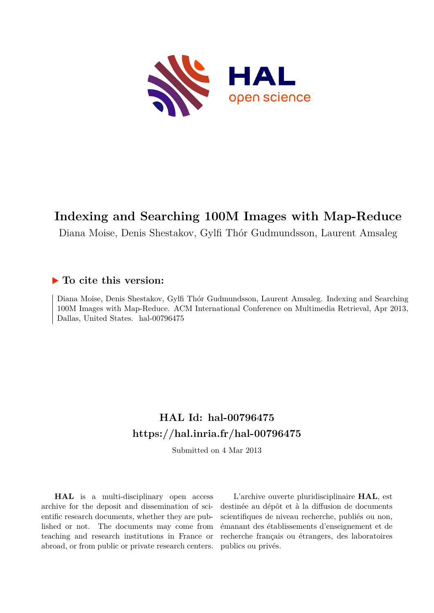

# **Indexing and Searching 100M Images with Map-Reduce**

Diana Moise, Denis Shestakov, Gylfi Thór Gudmundsson, Laurent Amsaleg

## **To cite this version:**

Diana Moise, Denis Shestakov, Gylfi Thór Gudmundsson, Laurent Amsaleg. Indexing and Searching 100M Images with Map-Reduce. ACM International Conference on Multimedia Retrieval, Apr 2013, Dallas, United States. hal-00796475

## **HAL Id: hal-00796475 <https://hal.inria.fr/hal-00796475>**

Submitted on 4 Mar 2013

**HAL** is a multi-disciplinary open access archive for the deposit and dissemination of scientific research documents, whether they are published or not. The documents may come from teaching and research institutions in France or abroad, or from public or private research centers.

L'archive ouverte pluridisciplinaire **HAL**, est destinée au dépôt et à la diffusion de documents scientifiques de niveau recherche, publiés ou non, émanant des établissements d'enseignement et de recherche français ou étrangers, des laboratoires publics ou privés.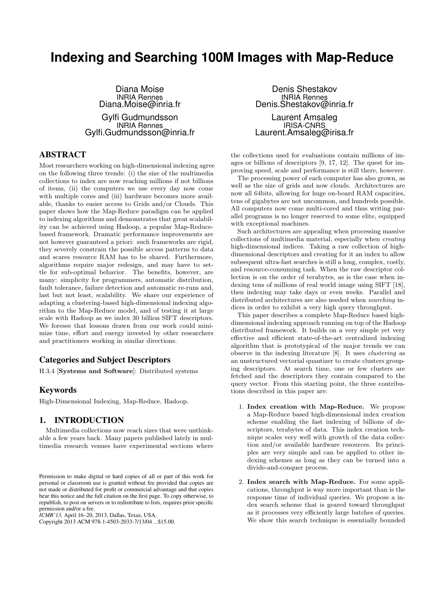# **Indexing and Searching 100M Images with Map-Reduce**

Diana Moise INRIA Rennes Diana.Moise@inria.fr Gylfi Gudmundsson INRIA Rennes Gylfi.Gudmundsson@inria.fr

## ABSTRACT

Most researchers working on high-dimensional indexing agree on the following three trends: (i) the size of the multimedia collections to index are now reaching millions if not billions of items, (ii) the computers we use every day now come with multiple cores and (iii) hardware becomes more available, thanks to easier access to Grids and/or Clouds. This paper shows how the Map-Reduce paradigm can be applied to indexing algorithms and demonstrates that great scalability can be achieved using Hadoop, a popular Map-Reducebased framework. Dramatic performance improvements are not however guaranteed a priori: such frameworks are rigid, they severely constrain the possible access patterns to data and scares resource RAM has to be shared. Furthermore, algorithms require major redesign, and may have to settle for sub-optimal behavior. The benefits, however, are many: simplicity for programmers, automatic distribution, fault tolerance, failure detection and automatic re-runs and, last but not least, scalability. We share our experience of adapting a clustering-based high-dimensional indexing algorithm to the Map-Reduce model, and of testing it at large scale with Hadoop as we index 30 billion SIFT descriptors. We foresee that lessons drawn from our work could minimize time, effort and energy invested by other researchers and practitioners working in similar directions.

## Categories and Subject Descriptors

H.3.4 [Systems and Software]: Distributed systems

## Keywords

High-Dimensional Indexing, Map-Reduce, Hadoop.

## 1. INTRODUCTION

Multimedia collections now reach sizes that were unthinkable a few years back. Many papers published lately in multimedia research venues have experimental sections where

*ICMR'13,* April 16–20, 2013, Dallas, Texas, USA.

Denis Shestakov INRIA Rennes Denis.Shestakov@inria.fr

Laurent Amsaleg IRISA-CNRS Laurent.Amsaleg@irisa.fr

the collections used for evaluations contain millions of images or billions of descriptors [9, 17, 12]. The quest for improving speed, scale and performance is still there, however.

The processing power of each computer has also grown, as well as the size of grids and now clouds. Architectures are now all 64bits, allowing for huge on-board RAM capacities, tens of gigabytes are not uncommon, and hundreds possible. All computers now come multi-cored and thus writing parallel programs is no longer reserved to some elite, equipped with exceptional machines.

Such architectures are appealing when processing massive collections of multimedia material, especially when creating high-dimensional indices. Taking a raw collection of highdimensional descriptors and creating for it an index to allow subsequent ultra-fast searches is still a long, complex, costly, and resource-consuming task. When the raw descriptor collection is on the order of terabytes, as is the case when indexing tens of millions of real world image using SIFT [18], then indexing may take days or even weeks. Parallel and distributed architectures are also needed when *searching* indices in order to exhibit a very high query throughput.

This paper describes a complete Map-Reduce based highdimensional indexing approach running on top of the Hadoop distributed framework. It builds on a very simple yet very effective and efficient state-of-the-art centralized indexing algorithm that is prototypical of the major trends we can observe in the indexing literature [8]. It uses clustering as an unstructured vectorial quantizer to create clusters grouping descriptors. At search time, one or few clusters are fetched and the descriptors they contain compared to the query vector. From this starting point, the three contributions described in this paper are:

- 1. Index creation with Map-Reduce. We propose a Map-Reduce based high-dimensional index creation scheme enabling the fast indexing of billions of descriptors, terabytes of data. This index creation technique scales very well with growth of the data collection and/or available hardware resources. Its principles are very simple and can be applied to other indexing schemes as long as they can be turned into a divide-and-conquer process.
- 2. Index search with Map-Reduce. For some applications, throughput is way more important than is the response time of individual queries. We propose a index search scheme that is geared toward throughput as it processes very efficiently large batches of queries. We show this search technique is essentially bounded

Permission to make digital or hard copies of all or part of this work for personal or classroom use is granted without fee provided that copies are not made or distributed for profit or commercial advantage and that copies bear this notice and the full citation on the first page. To copy otherwise, to republish, to post on servers or to redistribute to lists, requires prior specific permission and/or a fee.

Copyright 2013 ACM 978-1-4503-2033-7/13/04 ...\$15.00.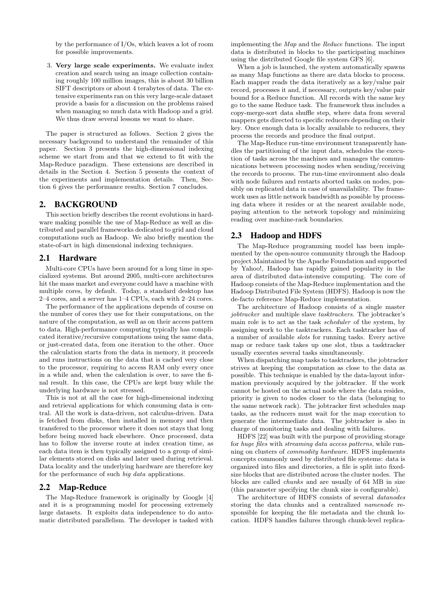by the performance of I/Os, which leaves a lot of room for possible improvements.

3. Very large scale experiments. We evaluate index creation and search using an image collection containing roughly 100 million images, this is about 30 billion SIFT descriptors or about 4 terabytes of data. The extensive experiments ran on this very large-scale dataset provide a basis for a discussion on the problems raised when managing so much data with Hadoop and a grid. We thus draw several lessons we want to share.

The paper is structured as follows. Section 2 gives the necessary background to understand the remainder of this paper. Section 3 presents the high-dimensional indexing scheme we start from and that we extend to fit with the Map-Reduce paradigm. These extensions are described in details in the Section 4. Section 5 presents the context of the experiments and implementation details. Then, Section 6 gives the performance results. Section 7 concludes.

## 2. BACKGROUND

This section briefly describes the recent evolutions in hardware making possible the use of Map-Reduce as well as distributed and parallel frameworks dedicated to grid and cloud computations such as Hadoop. We also briefly mention the state-of-art in high dimensional indexing techniques.

## 2.1 Hardware

Multi-core CPUs have been around for a long time in specialized systems. But around 2005, multi-core architectures hit the mass market and everyone could have a machine with multiple cores, by default. Today, a standard desktop has 2–4 cores, and a server has 1–4 CPUs, each with 2–24 cores.

The performance of the applications depends of course on the number of cores they use for their computations, on the nature of the computation, as well as on their access pattern to data. High-performance computing typically has complicated iterative/recursive computations using the same data, or just-created data, from one iteration to the other. Once the calculation starts from the data in memory, it proceeds and runs instructions on the data that is cached very close to the processor, requiring to access RAM only every once in a while and, when the calculation is over, to save the final result. In this case, the CPUs are kept busy while the underlying hardware is not stressed.

This is not at all the case for high-dimensional indexing and retrieval applications for which consuming data is central. All the work is data-driven, not calculus-driven. Data is fetched from disks, then installed in memory and then transfered to the processor where it does not stays that long before being moved back elsewhere. Once processed, data has to follow the inverse route at index creation time, as each data item is then typically assigned to a group of similar elements stored on disks and later used during retrieval. Data locality and the underlying hardware are therefore key for the performance of such big data applications.

#### 2.2 Map-Reduce

The Map-Reduce framework is originally by Google [4] and it is a programming model for processing extremely large datasets. It exploits data independence to do automatic distributed parallelism. The developer is tasked with implementing the Map and the Reduce functions. The input data is distributed in blocks to the participating machines using the distributed Google file system GFS [6].

When a job is launched, the system automatically spawns as many Map functions as there are data blocks to process. Each mapper reads the data iteratively as a key/value pair record, processes it and, if necessary, outputs key/value pair bound for a Reduce function. All records with the same key go to the same Reduce task. The framework thus includes a copy-merge-sort data shuffle step, where data from several mappers gets directed to specific reducers depending on their key. Once enough data is locally available to reducers, they process the records and produce the final output.

The Map-Reduce run-time environment transparently handles the partitioning of the input data, schedules the execution of tasks across the machines and manages the communications between processing nodes when sending/receiving the records to process. The run-time environment also deals with node failures and restarts aborted tasks on nodes, possibly on replicated data in case of unavailability. The framework uses as little network bandwidth as possible by processing data where it resides or at the nearest available node, paying attention to the network topology and minimizing reading over machine-rack boundaries.

## 2.3 Hadoop and HDFS

The Map-Reduce programming model has been implemented by the open-source community through the Hadoop project.Maintained by the Apache Foundation and supported by Yahoo!, Hadoop has rapidly gained popularity in the area of distributed data-intensive computing. The core of Hadoop consists of the Map-Reduce implementation and the Hadoop Distributed File System (HDFS). Hadoop is now the de-facto reference Map-Reduce implementation.

The architecture of Hadoop consists of a single master jobtracker and multiple slave tasktrackers. The jobtracker's main role is to act as the task scheduler of the system, by assigning work to the tasktrackers. Each tasktracker has of a number of available slots for running tasks. Every active map or reduce task takes up one slot, thus a tasktracker usually executes several tasks simultaneously.

When dispatching map tasks to tasktrackers, the jobtracker strives at keeping the computation as close to the data as possible. This technique is enabled by the data-layout information previously acquired by the jobtracker. If the work cannot be hosted on the actual node where the data resides, priority is given to nodes closer to the data (belonging to the same network rack). The jobtracker first schedules map tasks, as the reducers must wait for the map execution to generate the intermediate data. The jobtracker is also in charge of monitoring tasks and dealing with failures.

HDFS [22] was built with the purpose of providing storage for huge files with streaming data access patterns, while running on clusters of commodity hardware. HDFS implements concepts commonly used by distributed file systems: data is organized into files and directories, a file is split into fixedsize blocks that are distributed across the cluster nodes. The blocks are called chunks and are usually of 64 MB in size (this parameter specifying the chunk size is configurable).

The architecture of HDFS consists of several datanodes storing the data chunks and a centralized namenode responsible for keeping the file metadata and the chunk location. HDFS handles failures through chunk-level replica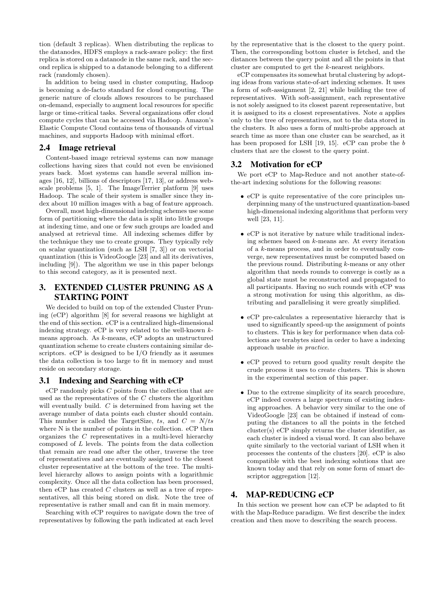tion (default 3 replicas). When distributing the replicas to the datanodes, HDFS employs a rack-aware policy: the first replica is stored on a datanode in the same rack, and the second replica is shipped to a datanode belonging to a different rack (randomly chosen).

In addition to being used in cluster computing, Hadoop is becoming a de-facto standard for cloud computing. The generic nature of clouds allows resources to be purchased on-demand, especially to augment local resources for specific large or time-critical tasks. Several organizations offer cloud compute cycles that can be accessed via Hadoop. Amazon's Elastic Compute Cloud contains tens of thousands of virtual machines, and supports Hadoop with minimal effort.

## 2.4 Image retrieval

Content-based image retrieval systems can now manage collections having sizes that could not even be envisioned years back. Most systems can handle several million images [16, 12], billions of descriptors [17, 13], or address webscale problems [5, 1]. The ImageTerrier platform [9] uses Hadoop. The scale of their system is smaller since they index about 10 million images with a bag of feature approach.

Overall, most high-dimensional indexing schemes use some form of partitioning where the data is split into little groups at indexing time, and one or few such groups are loaded and analysed at retrieval time. All indexing schemes differ by the technique they use to create groups. They typically rely on scalar quantization (such as LSH [7, 3]) or on vectorial quantization (this is VideoGoogle [23] and all its derivatives, including [9]). The algorithm we use in this paper belongs to this second category, as it is presented next.

## 3. EXTENDED CLUSTER PRUNING AS A STARTING POINT

We decided to build on top of the extended Cluster Pruning (eCP) algorithm [8] for several reasons we highlight at the end of this section. eCP is a centralized high-dimensional indexing strategy.  $eCP$  is very related to the well-known  $k$ means approach. As k-means, eCP adopts an unstructured quantization scheme to create clusters containing similar descriptors. eCP is designed to be I/O friendly as it assumes the data collection is too large to fit in memory and must reside on secondary storage.

## 3.1 Indexing and Searching with eCP

eCP randomly picks C points from the collection that are used as the representatives of the C clusters the algorithm will eventually build. C is determined from having set the average number of data points each cluster should contain. This number is called the TargetSize, ts, and  $C = N/ts$ where N is the number of points in the collection. eCP then organizes the C representatives in a multi-level hierarchy composed of L levels. The points from the data collection that remain are read one after the other, traverse the tree of representatives and are eventually assigned to the closest cluster representative at the bottom of the tree. The multilevel hierarchy allows to assign points with a logarithmic complexity. Once all the data collection has been processed, then eCP has created C clusters as well as a tree of representatives, all this being stored on disk. Note the tree of representative is rather small and can fit in main memory.

Searching with eCP requires to navigate down the tree of representatives by following the path indicated at each level

by the representative that is the closest to the query point. Then, the corresponding bottom cluster is fetched, and the distances between the query point and all the points in that cluster are computed to get the k-nearest neighbors.

eCP compensates its somewhat brutal clustering by adopting ideas from various state-of-art indexing schemes. It uses a form of soft-assignment [2, 21] while building the tree of representatives. With soft-assignment, each representative is not solely assigned to its closest parent representative, but it is assigned to its a closest representatives. Note a applies only to the tree of representatives, not to the data stored in the clusters. It also uses a form of multi-probe approach at search time as more than one cluster can be searched, as it has been proposed for LSH [19, 15]. eCP can probe the b clusters that are the closest to the query point.

## 3.2 Motivation for eCP

We port eCP to Map-Reduce and not another state-ofthe-art indexing solutions for the following reasons:

- eCP is quite representative of the core principles underpinning many of the unstructured quantization-based high-dimensional indexing algorithms that perform very well [23, 11].
- eCP is not iterative by nature while traditional indexing schemes based on k-means are. At every iteration of a k-means process, and in order to eventually converge, new representatives must be computed based on the previous round. Distributing k-means or any other algorithm that needs rounds to converge is costly as a global state must be reconstructed and propagated to all participants. Having no such rounds with eCP was a strong motivation for using this algorithm, as distributing and parallelising it were greatly simplified.
- eCP pre-calculates a representative hierarchy that is used to significantly speed-up the assignment of points to clusters. This is key for performance when data collections are terabytes sized in order to have a indexing approach usable in practice.
- eCP proved to return good quality result despite the crude process it uses to create clusters. This is shown in the experimental section of this paper.
- Due to the extreme simplicity of its search procedure, eCP indeed covers a large spectrum of existing indexing approaches. A behavior very similar to the one of VideoGoogle [23] can be obtained if instead of computing the distances to all the points in the fetched cluster(s) eCP simply returns the cluster identifier, as each cluster is indeed a visual word. It can also behave quite similarly to the vectorial variant of LSH when it processes the contents of the clusters [20]. eCP is also compatible with the best indexing solutions that are known today and that rely on some form of smart descriptor aggregation [12].

## 4. MAP-REDUCING eCP

In this section we present how can eCP be adapted to fit with the Map-Reduce paradigm. We first describe the index creation and then move to describing the search process.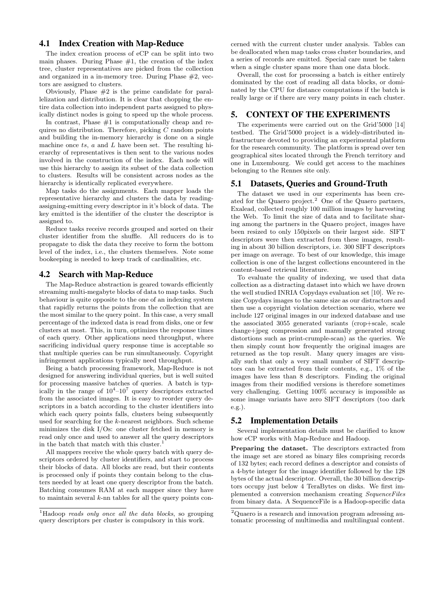#### 4.1 Index Creation with Map-Reduce

The index creation process of eCP can be split into two main phases. During Phase  $#1$ , the creation of the index tree, cluster representatives are picked from the collection and organized in a in-memory tree. During Phase  $#2$ , vectors are assigned to clusters.

Obviously, Phase  $#2$  is the prime candidate for parallelization and distribution. It is clear that chopping the entire data collection into independent parts assigned to physically distinct nodes is going to speed up the whole process.

In contrast, Phase  $#1$  is computationally cheap and requires no distribution. Therefore, picking  $C$  random points and building the in-memory hierarchy is done on a single machine once  $ts$ ,  $a$  and  $L$  have been set. The resulting hierarchy of representatives is then sent to the various nodes involved in the construction of the index. Each node will use this hierarchy to assign its subset of the data collection to clusters. Results will be consistent across nodes as the hierarchy is identically replicated everywhere.

Map tasks do the assignments. Each mapper loads the representative hierarchy and clusters the data by readingassigning-emitting every descriptor in it's block of data. The key emitted is the identifier of the cluster the descriptor is assigned to.

Reduce tasks receive records grouped and sorted on their cluster identifier from the shuffle. All reducers do is to propagate to disk the data they receive to form the bottom level of the index, i.e., the clusters themselves. Note some bookeeping is needed to keep track of cardinalities, etc.

#### 4.2 Search with Map-Reduce

The Map-Reduce abstraction is geared towards efficiently streaming multi-megabyte blocks of data to map tasks. Such behaviour is quite opposite to the one of an indexing system that rapidly returns the points from the collection that are the most similar to the query point. In this case, a very small percentage of the indexed data is read from disks, one or few clusters at most. This, in turn, optimizes the response times of each query. Other applications need throughput, where sacrificing individual query response time is acceptable so that multiple queries can be run simultaneously. Copyright infringement applications typically need throughput.

Being a batch processing framework, Map-Reduce is not designed for answering individual queries, but is well suited for processing massive batches of queries. A batch is typically in the range of  $10^4$ - $10^7$  query descriptors extracted from the associated images. It is easy to reorder query descriptors in a batch according to the cluster identifiers into which each query points falls, clusters being subsequently used for searching for the k-nearest neighbors. Such scheme minimizes the disk I/Os: one cluster fetched in memory is read only once and used to answer all the query descriptors in the batch that match with this cluster.<sup>1</sup>

All mappers receive the whole query batch with query descriptors ordered by cluster identifiers, and start to process their blocks of data. All blocks are read, but their contents is processed only if points they contain belong to the clusters needed by at least one query descriptor from the batch. Batching consumes RAM at each mapper since they have to maintain several  $k$ -nn tables for all the query points con-

cerned with the current cluster under analysis. Tables can be deallocated when map tasks cross cluster boundaries, and a series of records are emitted. Special care must be taken when a single cluster spans more than one data block.

Overall, the cost for processing a batch is either entirely dominated by the cost of reading all data blocks, or dominated by the CPU for distance computations if the batch is really large or if there are very many points in each cluster.

## 5. CONTEXT OF THE EXPERIMENTS

The experiments were carried out on the Grid'5000 [14] testbed. The Grid'5000 project is a widely-distributed infrastructure devoted to providing an experimental platform for the research community. The platform is spread over ten geographical sites located through the French territory and one in Luxembourg. We could get access to the machines belonging to the Rennes site only.

## 5.1 Datasets, Queries and Ground-Truth

The dataset we used in our experiments has been created for the Quaero project.<sup>2</sup> One of the Quaero partners, Exalead, collected roughly 100 million images by harvesting the Web. To limit the size of data and to facilitate sharing among the partners in the Quaero project, images have been resized to only 150pixels on their largest side. SIFT descriptors were then extracted from these images, resulting in about 30 billion descriptors, i.e. 300 SIFT descriptors per image on average. To best of our knowledge, this image collection is one of the largest collections encountered in the content-based retrieval literature.

To evaluate the quality of indexing, we used that data collection as a distracting dataset into which we have drown the well studied INRIA Copydays evaluation set [10]. We resize Copydays images to the same size as our distractors and then use a copyright violation detection scenario, where we include 127 original images in our indexed database and use the associated 3055 generated variants (crop+scale, scale change+jpeg compression and manually generated strong distortions such as print-crumple-scan) as the queries. We then simply count how frequently the original images are returned as the top result. Many query images are visually such that only a very small number of SIFT descriptors can be extracted from their contents, e.g., 1% of the images have less than 8 descriptors. Finding the original images from their modified versions is therefore sometimes very challenging. Getting 100% accuracy is impossible as some image variants have zero SIFT descriptors (too dark e.g.).

#### 5.2 Implementation Details

Several implementation details must be clarified to know how eCP works with Map-Reduce and Hadoop.

Preparing the dataset. The descriptors extracted from the image set are stored as binary files comprising records of 132 bytes; each record defines a descriptor and consists of a 4-byte integer for the image identifier followed by the 128 bytes of the actual descriptor. Overall, the 30 billion descriptors occupy just below 4 TeraBytes on disks. We first implemented a conversion mechanism creating SequenceFiles from binary data. A SequenceFile is a Hadoop-specific data

<sup>&</sup>lt;sup>1</sup>Hadoop reads only once all the data blocks, so grouping query descriptors per cluster is compulsory in this work.

<sup>2</sup>Quaero is a research and innovation program adressing automatic processing of multimedia and multilingual content.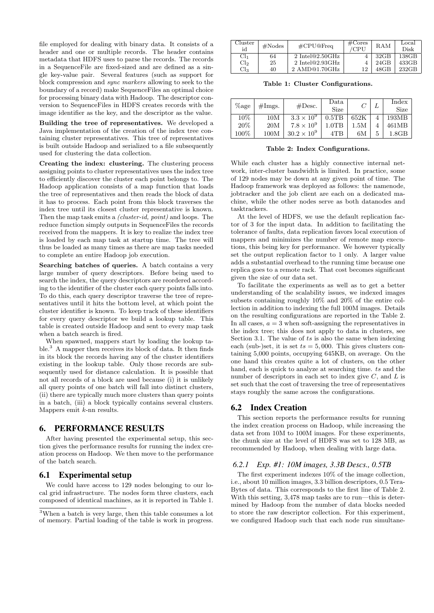file employed for dealing with binary data. It consists of a header and one or multiple records. The header contains metadata that HDFS uses to parse the records. The records in a SequenceFile are fixed-sized and are defined as a single key-value pair. Several features (such as support for block compression and sync markers allowing to seek to the boundary of a record) make SequenceFiles an optimal choice for processing binary data with Hadoop. The descriptor conversion to SequenceFiles in HDFS creates records with the image identifier as the key, and the descriptor as the value.

Building the tree of representatives. We developed a Java implementation of the creation of the index tree containing cluster representatives. This tree of representatives is built outside Hadoop and serialized to a file subsequently used for clustering the data collection.

Creating the index: clustering. The clustering process assigning points to cluster representatives uses the index tree to efficiently discover the cluster each point belongs to. The Hadoop application consists of a map function that loads the tree of representatives and then reads the block of data it has to process. Each point from this block traverses the index tree until its closest cluster representative is known. Then the map task emits a *(cluster-id, point)* and loops. The reduce function simply outputs in SequenceFiles the records received from the mappers. It is key to realize the index tree is loaded by each map task at startup time. The tree will thus be loaded as many times as there are map tasks needed to complete an entire Hadoop job execution.

Searching batches of queries. A batch contains a very large number of query descriptors. Before being used to search the index, the query descriptors are reordered according to the identifier of the cluster each query points falls into. To do this, each query descriptor traverse the tree of representatives until it hits the bottom level, at which point the cluster identifier is known. To keep track of these identifiers for every query descriptor we build a lookup table. This table is created outside Hadoop and sent to every map task when a batch search is fired.

When spawned, mappers start by loading the lookup table.<sup>3</sup> A mapper then receives its block of data. It then finds in its block the records having any of the cluster identifiers existing in the lookup table. Only those records are subsequently used for distance calculation. It is possible that not all records of a block are used because (i) it is unlikely all query points of one batch will fall into distinct clusters, (ii) there are typically much more clusters than query points in a batch, (iii) a block typically contains several clusters. Mappers emit  $k$ -nn results.

## 6. PERFORMANCE RESULTS

After having presented the experimental setup, this section gives the performance results for running the index creation process on Hadoop. We then move to the performance of the batch search.

## 6.1 Experimental setup

We could have access to 129 nodes belonging to our local grid infrastructure. The nodes form three clusters, each composed of identical machines, as it is reported in Table 1.

| Cluster<br>id     | #Nodes | $\#\mathrm{CPU@Freq}$ | $\#\text{Cores}$<br>/CPU | <b>RAM</b> | Local<br>Disk |
|-------------------|--------|-----------------------|--------------------------|------------|---------------|
| Ch                | 64     | $2$ Intel@2.50GHz     |                          | 32GB       | 138GB         |
| Cl <sub>2</sub>   | 25     | $2$ Intel@2.93GHz     |                          | 24GB       | 433GB         |
| $\text{\rm Cl}_3$ | 40     | $2$ AMD@1.70GHz       |                          | 48GB       | 232GB         |

Table 1: Cluster Configurations.

| $\%$ age | $\#\mathrm{Imgs.}$ | #Desc.               | Data<br>Size |      |   | Index<br>Size  |
|----------|--------------------|----------------------|--------------|------|---|----------------|
| 10%      | 10M                | $3.3 \times 10^9$    | $0.5$ TB     | 652K |   | 193MB          |
| 20%      | 20M                | $7.8 \times 10^9$    | 1.0TB        | 1.5M |   | 461MB          |
| $100\%$  | 100M               | $30.2 \times 10^{9}$ | 4TB          | 6M   | 5 | $_{\rm 1.8GB}$ |

#### Table 2: Index Configurations.

While each cluster has a highly connective internal network, inter-cluster bandwidth is limited. In practice, some of 129 nodes may be down at any given point of time. The Hadoop framework was deployed as follows: the namenode, jobtracker and the job client are each on a dedicated machine, while the other nodes serve as both datanodes and tasktrackers.

At the level of HDFS, we use the default replication factor of 3 for the input data. In addition to facilitating the tolerance of faults, data replication favors local execution of mappers and minimizes the number of remote map executions, this being key for performance. We however typically set the output replication factor to 1 only. A larger value adds a substantial overhead to the running time because one replica goes to a remote rack. That cost becomes significant given the size of our data set.

To facilitate the experiments as well as to get a better understanding of the scalability issues, we indexed images subsets containing roughly 10% and 20% of the entire collection in addition to indexing the full 100M images. Details on the resulting configurations are reported in the Table 2. In all cases,  $a = 3$  when soft-assigning the representatives in the index tree; this does not apply to data in clusters, see Section 3.1. The value of  $ts$  is also the same when indexing each (sub-)set, it is set  $ts = 5,000$ . This gives clusters containing 5,000 points, occupying 645KB, on average. On the one hand this creates quite a lot of clusters, on the other hand, each is quick to analyze at searching time. ts and the number of descriptors in each set to index give  $C$ , and  $L$  is set such that the cost of traversing the tree of representatives stays roughly the same across the configurations.

## 6.2 Index Creation

This section reports the performance results for running the index creation process on Hadoop, while increasing the data set from 10M to 100M images. For these experiments, the chunk size at the level of HDFS was set to 128 MB, as recommended by Hadoop, when dealing with large data.

#### *6.2.1 Exp. #1: 10M images, 3.3B Descs., 0.5TB*

The first experiment indexes 10% of the image collection, i.e., about 10 million images, 3.3 billion descriptors, 0.5 Tera-Bytes of data. This corresponds to the first line of Table 2. With this setting, 3,478 map tasks are to run—this is determined by Hadoop from the number of data blocks needed to store the raw descriptor collection. For this experiment, we configured Hadoop such that each node run simultane-

<sup>3</sup>When a batch is very large, then this table consumes a lot of memory. Partial loading of the table is work in progress.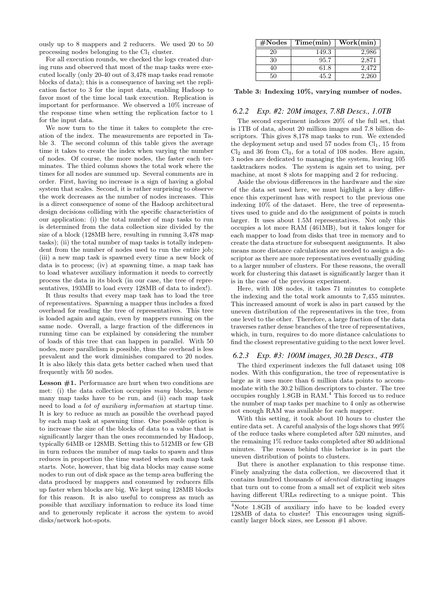ously up to 8 mappers and 2 reducers. We used 20 to 50 processing nodes belonging to the  $Cl<sub>1</sub>$  cluster.

For all execution rounds, we checked the logs created during runs and observed that most of the map tasks were executed locally (only 20-40 out of 3,478 map tasks read remote blocks of data); this is a consequence of having set the replication factor to 3 for the input data, enabling Hadoop to favor most of the time local task execution. Replication is important for performance. We observed a 10% increase of the response time when setting the replication factor to 1 for the input data.

We now turn to the time it takes to complete the creation of the index. The measurements are reported in Table 3. The second column of this table gives the average time it takes to create the index when varying the number of nodes. Of course, the more nodes, the faster each terminates. The third column shows the total work where the times for all nodes are summed up. Several comments are in order. First, having no increase is a sign of having a global system that scales. Second, it is rather surprising to observe the work decreases as the number of nodes increases. This is a direct consequence of some of the Hadoop architectural design decisions colliding with the specific characteristics of our application: (i) the total number of map tasks to run is determined from the data collection size divided by the size of a block (128MB here, resulting in running 3,478 map tasks); (ii) the total number of map tasks is totally independent from the number of nodes used to run the entire job; (iii) a new map task is spawned every time a new block of data is to process; (iv) at spawning time, a map task has to load whatever auxiliary information it needs to correctly process the data in its block (in our case, the tree of representatives, 193MB to load every 128MB of data to index!).

It thus results that every map task has to load the tree of representatives. Spawning a mapper thus includes a fixed overhead for reading the tree of representatives. This tree is loaded again and again, even by mappers running on the same node. Overall, a large fraction of the differences in running time can be explained by considering the number of loads of this tree that can happen in parallel. With 50 nodes, more parallelism is possible, thus the overhead is less prevalent and the work diminishes compared to 20 nodes. It is also likely this data gets better cached when used that frequently with 50 nodes.

**Lesson**  $#1$ . Performance are hurt when two conditions are met: (i) the data collection occupies many blocks, hence many map tasks have to be run, and (ii) each map task need to load a lot of auxiliary information at startup time. It is key to reduce as much as possible the overhead payed by each map task at spawning time. One possible option is to increase the size of the blocks of data to a value that is significantly larger than the ones recommended by Hadoop, typically 64MB or 128MB. Setting this to 512MB or few GB in turn reduces the number of map tasks to spawn and thus reduces in proportion the time wasted when each map task starts. Note, however, that big data blocks may cause some nodes to run out of disk space as the temp area buffering the data produced by mappers and consumed by reducers fills up faster when blocks are big. We kept using 128MB blocks for this reason. It is also useful to compress as much as possible that auxiliary information to reduce its load time and to generously replicate it across the system to avoid disks/network hot-spots.

| $\#\text{Nodes}$ | Time(min) | Work(min) |
|------------------|-----------|-----------|
| 20               | 149.3     | 2,986     |
| 30               | 95.7      | 2,871     |
| 40               | 61.8      | 2.472     |
| 50               | 45.2      | 2.260     |

Table 3: Indexing 10%, varying number of nodes.

#### *6.2.2 Exp. #2: 20M images, 7.8B Descs., 1.0TB*

The second experiment indexes 20% of the full set, that is 1TB of data, about 20 million images and 7.8 billion descriptors. This gives 8,178 map tasks to run. We extended the deployment setup and used 57 nodes from  $Cl_1$ , 15 from  $Cl<sub>2</sub>$  and 36 from  $Cl<sub>3</sub>$ , for a total of 108 nodes. Here again, 3 nodes are dedicated to managing the system, leaving 105 tasktrackers nodes. The system is again set to using, per machine, at most 8 slots for mapping and 2 for reducing.

Aside the obvious differences in the hardware and the size of the data set used here, we must highlight a key difference this experiment has with respect to the previous one indexing 10% of the dataset. Here, the tree of representatives used to guide and do the assignment of points is much larger. It uses about 1.5M representatives. Not only this occupies a lot more RAM (461MB), but it takes longer for each mapper to load from disks that tree in memory and to create the data structure for subsequent assignments. It also means more distance calculations are needed to assign a descriptor as there are more representatives eventually guiding to a larger number of clusters. For these reasons, the overall work for clustering this dataset is significantly larger than it is in the case of the previous experiment.

Here, with 108 nodes, it takes 71 minutes to complete the indexing and the total work amounts to 7,455 minutes. This increased amount of work is also in part caused by the uneven distribution of the representatives in the tree, from one level to the other. Therefore, a large fraction of the data traverses rather dense branches of the tree of representatives, which, in turn, requires to do more distance calculations to find the closest representative guiding to the next lower level.

#### *6.2.3 Exp. #3: 100M images, 30.2B Descs., 4TB*

The third experiment indexes the full dataset using 108 nodes. With this configuration, the tree of representative is large as it uses more than 6 million data points to accommodate with the 30.2 billion descriptors to cluster. The tree occupies roughly 1.8GB in RAM.<sup>4</sup> This forced us to reduce the number of map tasks per machine to 4 only as otherwise not enough RAM was available for each mapper.

With this setting, it took about 10 hours to cluster the entire data set. A careful analysis of the logs shows that 99% of the reduce tasks where completed after 520 minutes, and the remaining 1% reduce tasks completed after 80 additional minutes. The reason behind this behavior is in part the uneven distribution of points to clusters.

But there is another explanation to this response time. Finely analyzing the data collection, we discovered that it contains hundred thousands of identical distracting images that turn out to come from a small set of explicit web sites having different URLs redirecting to a unique point. This

<sup>4</sup>Note 1.8GB of auxiliary info have to be loaded every 128MB of data to cluster! This encourages using significantly larger block sizes, see Lesson #1 above.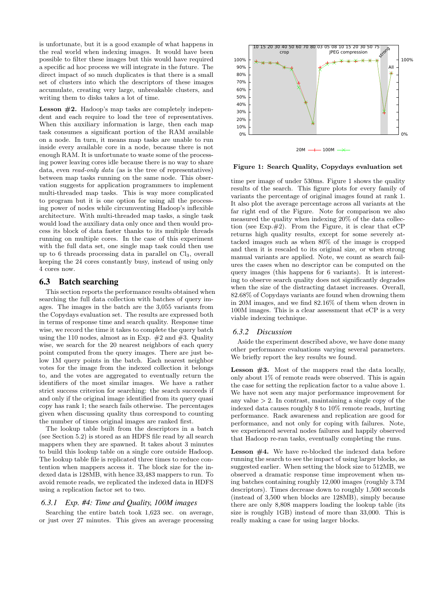is unfortunate, but it is a good example of what happens in the real world when indexing images. It would have been possible to filter these images but this would have required a specific ad hoc process we will integrate in the future. The direct impact of so much duplicates is that there is a small set of clusters into which the descriptors of these images accumulate, creating very large, unbreakable clusters, and writing them to disks takes a lot of time.

**Lesson**  $#2$ **.** Hadoop's map tasks are completely independent and each require to load the tree of representatives. When this auxiliary information is large, then each map task consumes a significant portion of the RAM available on a node. In turn, it means map tasks are unable to run inside every available core in a node, because there is not enough RAM. It is unfortunate to waste some of the processing power leaving cores idle because there is no way to share data, even read-only data (as is the tree of representatives) between map tasks running on the same node. This observation suggests for application programmers to implement multi-threaded map tasks. This is way more complicated to program but it is one option for using all the processing power of nodes while circumventing Hadoop's inflexible architecture. With multi-threaded map tasks, a single task would load the auxiliary data only once and then would process its block of data faster thanks to its multiple threads running on multiple cores. In the case of this experiment with the full data set, one single map task could then use up to 6 threads processing data in parallel on  $Cl_3$ , overall keeping the 24 cores constantly busy, instead of using only 4 cores now.

## 6.3 Batch searching

This section reports the performance results obtained when searching the full data collection with batches of query images. The images in the batch are the 3,055 variants from the Copydays evaluation set. The results are expressed both in terms of response time and search quality. Response time wise, we record the time it takes to complete the query batch using the 110 nodes, almost as in Exp.  $\#2$  and  $\#3$ . Quality wise, we search for the 20 nearest neighbors of each query point computed from the query images. There are just below 1M query points in the batch. Each nearest neighbor votes for the image from the indexed collection it belongs to, and the votes are aggregated to eventually return the identifiers of the most similar images. We have a rather strict success criterion for searching: the search succeeds if and only if the original image identified from its query quasi copy has rank 1; the search fails otherwise. The percentages given when discussing quality thus correspond to counting the number of times original images are ranked first.

The lookup table built from the descriptors in a batch (see Section 5.2) is stored as an HDFS file read by all search mappers when they are spawned. It takes about 3 minutes to build this lookup table on a single core outside Hadoop. The lookup table file is replicated three times to reduce contention when mappers access it. The block size for the indexed data is 128MB, with hence 33,483 mappers to run. To avoid remote reads, we replicated the indexed data in HDFS using a replication factor set to two.

#### *6.3.1 Exp. #4: Time and Quality, 100M images*

Searching the entire batch took 1,623 sec. on average, or just over 27 minutes. This gives an average processing



Figure 1: Search Quality, Copydays evaluation set

time per image of under 530ms. Figure 1 shows the quality results of the search. This figure plots for every family of variants the percentage of original images found at rank 1. It also plot the average percentage across all variants at the far right end of the Figure. Note for comparison we also measured the quality when indexing 20% of the data collection (see Exp. $#2$ ). From the Figure, it is clear that eCP returns high quality results, except for some severely attacked images such as when 80% of the image is cropped and then it is rescaled to its original size, or when strong manual variants are applied. Note, we count as search failures the cases when no descriptor can be computed on the query images (this happens for 6 variants). It is interesting to observe search quality does not significantly degrades when the size of the distracting dataset increases. Overall, 82.68% of Copydays variants are found when drowning them in 20M images, and we find 82.16% of them when drown in 100M images. This is a clear assessment that eCP is a very viable indexing technique.

#### *6.3.2 Discussion*

Aside the experiment described above, we have done many other performance evaluations varying several parameters. We briefly report the key results we found.

**Lesson**  $#3$ **.** Most of the mappers read the data locally, only about 1% of remote reads were observed. This is again the case for setting the replication factor to a value above 1. We have not seen any major performance improvement for any value  $> 2$ . In contrast, maintaining a single copy of the indexed data causes roughly 8 to 10% remote reads, hurting performance. Rack awareness and replication are good for performance, and not only for coping with failures. Note, we experienced several nodes failures and happily observed that Hadoop re-ran tasks, eventually completing the runs.

**Lesson**  $#4$ **.** We have re-blocked the indexed data before running the search to see the impact of using larger blocks, as suggested earlier. When setting the block size to 512MB, we observed a dramatic response time improvement when using batches containing roughly 12,000 images (roughly 3.7M descriptors). Times decrease down to roughly 1,500 seconds (instead of 3,500 when blocks are 128MB), simply because there are only 8,808 mappers loading the lookup table (its size is roughly 1GB) instead of more than 33,000. This is really making a case for using larger blocks.